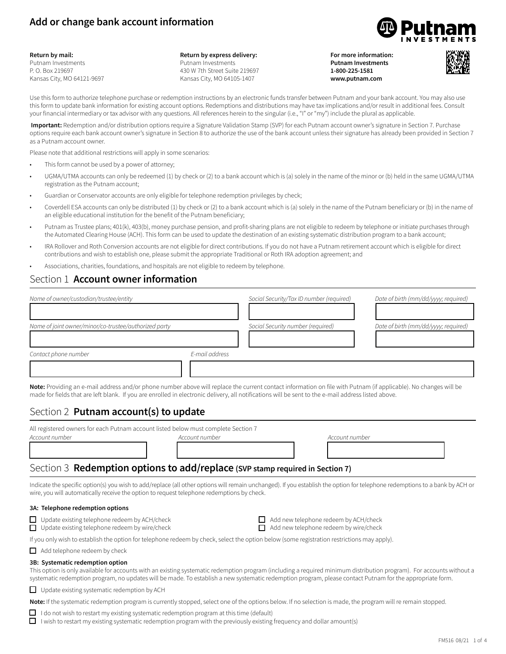# **Add or change bank account information**



**Return by mail:** Putnam Investments P. O. Box 219697 Kansas City, MO 64121-9697

**Return by express delivery:**  Putnam Investments 430 W 7th Street Suite 219697 Kansas City, MO 64105-1407

**For more information: Putnam Investments 1-800-225-1581 www.putnam.com**



Use this form to authorize telephone purchase or redemption instructions by an electronic funds transfer between Putnam and your bank account. You may also use this form to update bank information for existing account options. Redemptions and distributions may have tax implications and/or result in additional fees. Consult your financial intermediary or tax advisor with any questions. All references herein to the singular (i.e., "I" or "my") include the plural as applicable.

**Important:** Redemption and/or distribution options require a Signature Validation Stamp (SVP) for each Putnam account owner's signature in Section 7. Purchase options require each bank account owner's signature in Section 8 to authorize the use of the bank account unless their signature has already been provided in Section 7 as a Putnam account owner.

Please note that additional restrictions will apply in some scenarios:

- This form cannot be used by a power of attorney;
- UGMA/UTMA accounts can only be redeemed (1) by check or (2) to a bank account which is (a) solely in the name of the minor or (b) held in the same UGMA/UTMA registration as the Putnam account;
- Guardian or Conservator accounts are only eligible for telephone redemption privileges by check;
- Coverdell ESA accounts can only be distributed (1) by check or (2) to a bank account which is (a) solely in the name of the Putnam beneficiary or (b) in the name of an eligible educational institution for the benefit of the Putnam beneficiary;
- Putnam as Trustee plans; 401(k), 403(b), money purchase pension, and profit-sharing plans are not eligible to redeem by telephone or initiate purchases through the Automated Clearing House (ACH). This form can be used to update the destination of an existing systematic distribution program to a bank account;
- IRA Rollover and Roth Conversion accounts are not eligible for direct contributions. If you do not have a Putnam retirement account which is eligible for direct contributions and wish to establish one, please submit the appropriate Traditional or Roth IRA adoption agreement; and
- Associations, charities, foundations, and hospitals are not eligible to redeem by telephone.

# Section 1 **Account owner information**

| Name of owner/custodian/trustee/entity                |                | Social Security/Tax ID number (required) | Date of birth (mm/dd/yyyy; required) |
|-------------------------------------------------------|----------------|------------------------------------------|--------------------------------------|
|                                                       |                |                                          |                                      |
| Name of joint owner/minor/co-trustee/authorized party |                | Social Security number (required)        | Date of birth (mm/dd/yyyy; required) |
|                                                       |                |                                          |                                      |
| Contact phone number                                  | E-mail address |                                          |                                      |
|                                                       |                |                                          |                                      |

**Note:** Providing an e-mail address and/or phone number above will replace the current contact information on file with Putnam (if applicable). No changes will be made for fields that are left blank. If you are enrolled in electronic delivery, all notifications will be sent to the e-mail address listed above.

## Section 2 **Putnam account(s) to update**

| All registered owners for each Putnam account listed below must complete Section 7 |                |                |  |
|------------------------------------------------------------------------------------|----------------|----------------|--|
| Account number                                                                     | Account number | Account number |  |
|                                                                                    |                |                |  |
|                                                                                    |                |                |  |

### Section 3 **Redemption options to add/replace (SVP stamp required in Section 7)**

Indicate the specific option(s) you wish to add/replace (all other options will remain unchanged). If you establish the option for telephone redemptions to a bank by ACH or wire, you will automatically receive the option to request telephone redemptions by check.

#### **3A: Telephone redemption options**

- Update existing telephone redeem by ACH/check
- Update existing telephone redeem by wire/check
- Add new telephone redeem by ACH/check

Add new telephone redeem by wire/check

If you only wish to establish the option for telephone redeem by check, select the option below (some registration restrictions may apply).

 $\Box$  Add telephone redeem by check

#### **3B: Systematic redemption option**

This option is only available for accounts with an existing systematic redemption program (including a required minimum distribution program). For accounts without a systematic redemption program, no updates will be made. To establish a new systematic redemption program, please contact Putnam for the appropriate form.

Update existing systematic redemption by ACH

**Note:** If the systematic redemption program is currently stopped, select one of the options below. If no selection is made, the program will re remain stopped.

- $\Box$  I do not wish to restart my existing systematic redemption program at this time (default)
- $\Box$  I wish to restart my existing systematic redemption program with the previously existing frequency and dollar amount(s)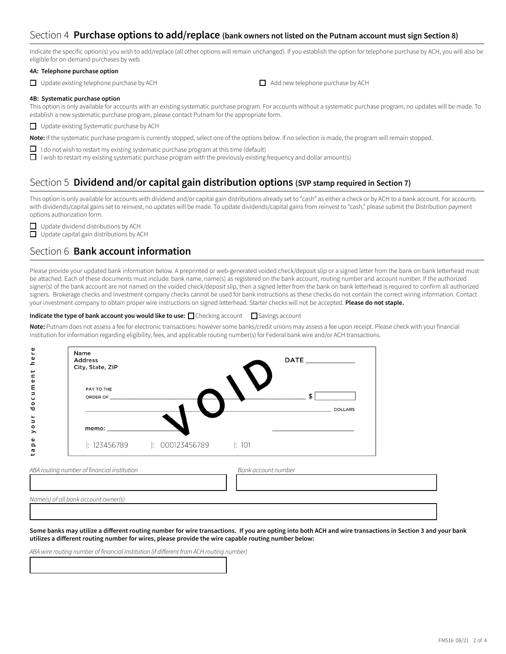### Section 4 **Purchase options to add/replace (bank owners not listed on the Putnam account must sign Section 8)**

Indicate the specific option(s) you wish to add/replace (all other options will remain unchanged). If you establish the option for telephone purchase by ACH, you will also be eligible for on-demand purchases by web.

### **4A: Telephone purchase option**

 $\Box$  Update existing telephone purchase by ACH  $\Box$  Add new telephone purchase by ACH

#### **4B: Systematic purchase option**

This option is only available for accounts with an existing systematic purchase program. For accounts without a systematic purchase program, no updates will be made. To establish a new systematic purchase program, please contact Putnam for the appropriate form.

Update existing Systematic purchase by ACH

**Note:** If the systematic purchase program is currently stopped, select one of the options below. If no selection is made, the program will remain stopped.

 $\Box$  I do not wish to restart my existing systematic purchase program at this time (default)

 $\Box$  I wish to restart my existing systematic purchase program with the previously existing frequency and dollar amount(s)

### Section 5 **Dividend and/or capital gain distribution options (SVP stamp required in Section 7)**

This option is only available for accounts with dividend and/or capital gain distributions already set to "cash" as either a check or by ACH to a bank account. For accounts with dividends/capital gains set to reinvest, no updates will be made. To update dividends/capital gains from reinvest to "cash," please submit the Distribution payment options authorization form.

 $\Box$  Update dividend distributions by ACH  $\Box$  Update capital gain distributions by ACH

## Section 6 **Bank account information**

Please provide your updated bank information below. A preprinted or web-generated voided check/deposit slip or a signed letter from the bank on bank letterhead must be attached. Each of these documents must include: bank name, name(s) as registered on the bank account, routing number and account number. If the authorized signer(s) of the bank account are not named on the voided check/deposit slip, then a signed letter from the bank on bank letterhead is required to confirm all authorized signers. Brokerage checks and investment company checks cannot be used for bank instructions as these checks do not contain the correct wiring information. Contact your investment company to obtain proper wire instructions on signed letterhead. Starter checks will not be accepted. **Please do not staple.**

### **Indicate the type of bank account you would like to use:**  $\Box$  Checking account  $\Box$  Savings account

**Note:** Putnam does not assess a fee for electronic transactions: however some banks/credit unions may assess a fee upon receipt. Please check with your financial institution for information regarding eligibility, fees, and applicable routing number(s) for Federal bank wire and/or ACH transactions.

| Name<br><b>Address</b><br>City, State, ZIP |                                                       | $\mathsf{DATE} \_\_\_\_\_\_\_\$ |
|--------------------------------------------|-------------------------------------------------------|---------------------------------|
| PAY TO THE<br>ORDER OF                     |                                                       | ¢<br><b>DOLLARS</b>             |
| memo:                                      |                                                       |                                 |
|                                            | $\mid$ : 123456789 $\mid$ : 000123456789 $\mid$ : 101 |                                 |

*ABA routing number of financial institution Bank account number*  $\frac{1}{4}$   $\frac{1}{4}$   $\frac{1}{4}$   $\frac{1}{4}$   $\frac{1}{4}$   $\frac{1}{4}$   $\frac{1}{4}$   $\frac{1}{4}$   $\frac{1}{4}$   $\frac{1}{4}$   $\frac{1}{4}$   $\frac{1}{4}$   $\frac{1}{4}$   $\frac{1}{4}$   $\frac{1}{4}$   $\frac{1}{4}$   $\frac{1}{4}$   $\frac{1}{4}$   $\frac{1}{4}$   $\frac{1}{4}$   $\frac{1}{4}$   $\frac{1}{4}$  *Name(s) of all bank account owner(s)*  $\frac{3}{2}$  43  $\frac{3}{2}$  43  $\frac{3}{2}$  43  $\frac{3}{2}$  43  $\frac{3}{2}$  43  $\frac{3}{2}$  43  $\frac{3}{2}$ 

 $\overline{a}$ 

**Some banks may utilize a different routing number for wire transactions. If you are opting into both ACH and wire transactions in Section 3 and your bank utilizes a different routing number for wires, please provide the wire capable routing number below:** 

*ABA wire routing number of financial institution (if different from ACH routing number)*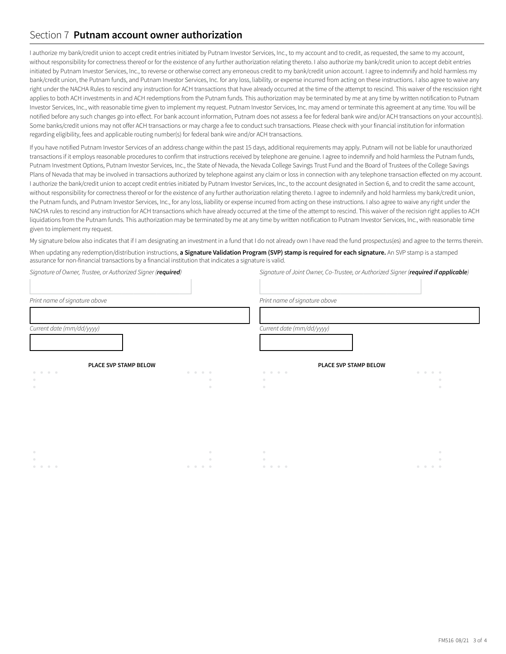## Section 7 **Putnam account owner authorization**

I authorize my bank/credit union to accept credit entries initiated by Putnam Investor Services, Inc., to my account and to credit, as requested, the same to my account, without responsibility for correctness thereof or for the existence of any further authorization relating thereto. I also authorize my bank/credit union to accept debit entries initiated by Putnam Investor Services, Inc., to reverse or otherwise correct any erroneous credit to my bank/credit union account. I agree to indemnify and hold harmless my bank/credit union, the Putnam funds, and Putnam Investor Services, Inc. for any loss, liability, or expense incurred from acting on these instructions. I also agree to waive any right under the NACHA Rules to rescind any instruction for ACH transactions that have already occurred at the time of the attempt to rescind. This waiver of the rescission right applies to both ACH investments in and ACH redemptions from the Putnam funds. This authorization may be terminated by me at any time by written notification to Putnam Investor Services, Inc., with reasonable time given to implement my request. Putnam Investor Services, Inc. may amend or terminate this agreement at any time. You will be notified before any such changes go into effect. For bank account information, Putnam does not assess a fee for federal bank wire and/or ACH transactions on your account(s). Some banks/credit unions may not offer ACH transactions or may charge a fee to conduct such transactions. Please check with your financial institution for information regarding eligibility, fees and applicable routing number(s) for federal bank wire and/or ACH transactions.

If you have notified Putnam Investor Services of an address change within the past 15 days, additional requirements may apply. Putnam will not be liable for unauthorized transactions if it employs reasonable procedures to confirm that instructions received by telephone are genuine. I agree to indemnify and hold harmless the Putnam funds, Putnam Investment Options, Putnam Investor Services, Inc., the State of Nevada, the Nevada College Savings Trust Fund and the Board of Trustees of the College Savings Plans of Nevada that may be involved in transactions authorized by telephone against any claim or loss in connection with any telephone transaction effected on my account. I authorize the bank/credit union to accept credit entries initiated by Putnam Investor Services, Inc., to the account designated in Section 6, and to credit the same account, without responsibility for correctness thereof or for the existence of any further authorization relating thereto. I agree to indemnify and hold harmless my bank/credit union, the Putnam funds, and Putnam Investor Services, Inc., for any loss, liability or expense incurred from acting on these instructions. I also agree to waive any right under the NACHA rules to rescind any instruction for ACH transactions which have already occurred at the time of the attempt to rescind. This waiver of the recision right applies to ACH liquidations from the Putnam funds. This authorization may be terminated by me at any time by written notification to Putnam Investor Services, Inc., with reasonable time given to implement my request.

My signature below also indicates that if I am designating an investment in a fund that I do not already own I have read the fund prospectus(es) and agree to the terms therein.

When updating any redemption/distribution instructions, a Signature Validation Program (SVP) stamp is required for each signature. An SVP stamp is a stamped assurance for non-financial transactions by a financial institution that indicates a signature is valid.

.<br>ا

 $\alpha$ 

*Signature of Owner, Trustee, or Authorized Signer (required)*

*Signature of Joint Owner, Co-Trustee, or Authorized Signer (required if applicable)*

|<br>|<br>|

.<br>.<br>.

| Print name of signature above |  |
|-------------------------------|--|
|-------------------------------|--|

33333334

*Current date (mm/dd/yyyy)*

*Print name of signature above*

*Current date (mm/dd/yyyy)*

 $\alpha$ 

33333334

**PLACE SVP STAMP BELOW**

#### **PLACE SVP STAMP BELOW**